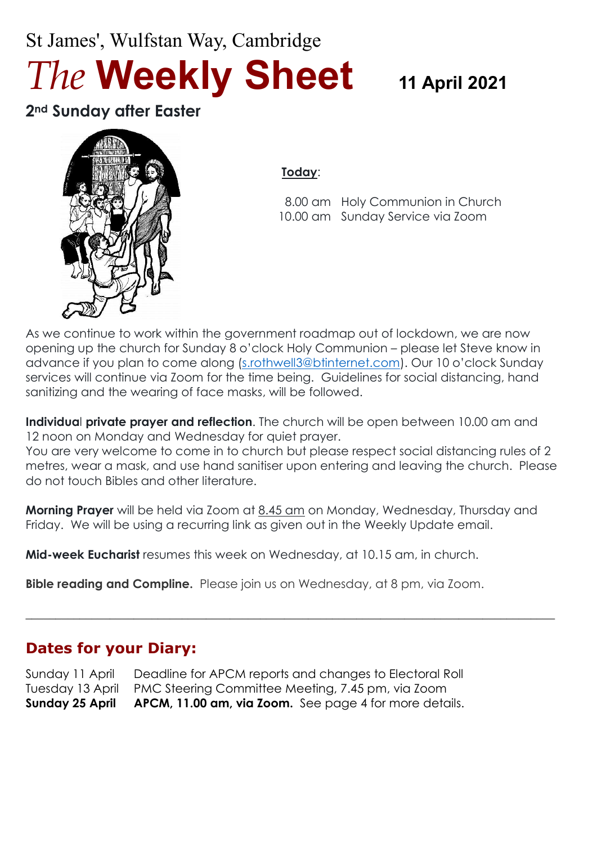# St James', Wulfstan Way, Cambridge *The* **Weekly Sheet <sup>11</sup> April <sup>2021</sup>**

**2nd Sunday after Easter**



### **Today**:

 8.00 am Holy Communion in Church 10.00 am Sunday Service via Zoom

As we continue to work within the government roadmap out of lockdown, we are now opening up the church for Sunday 8 o'clock Holy Communion – please let Steve know in advance if you plan to come along [\(s.rothwell3@btinternet.com\)](mailto:s.rothwell3@btinternet.com). Our 10 o'clock Sunday services will continue via Zoom for the time being. Guidelines for social distancing, hand sanitizing and the wearing of face masks, will be followed.

**Individua**l **private prayer and reflection**. The church will be open between 10.00 am and 12 noon on Monday and Wednesday for quiet prayer.

You are very welcome to come in to church but please respect social distancing rules of 2 metres, wear a mask, and use hand sanitiser upon entering and leaving the church. Please do not touch Bibles and other literature.

**Morning Prayer** will be held via Zoom at 8.45 am on Monday, Wednesday, Thursday and Friday. We will be using a recurring link as given out in the Weekly Update email.

 $\_$  , and the set of the set of the set of the set of the set of the set of the set of the set of the set of the set of the set of the set of the set of the set of the set of the set of the set of the set of the set of th

**Mid-week Eucharist** resumes this week on Wednesday, at 10.15 am, in church.

**Bible reading and Compline.** Please join us on Wednesday, at 8 pm, via Zoom.

# **Dates for your Diary:**

Sunday 11 April Deadline for APCM reports and changes to Electoral Roll Tuesday 13 April PMC Steering Committee Meeting, 7.45 pm, via Zoom **Sunday 25 April APCM, 11.00 am, via Zoom.** See page 4 for more details.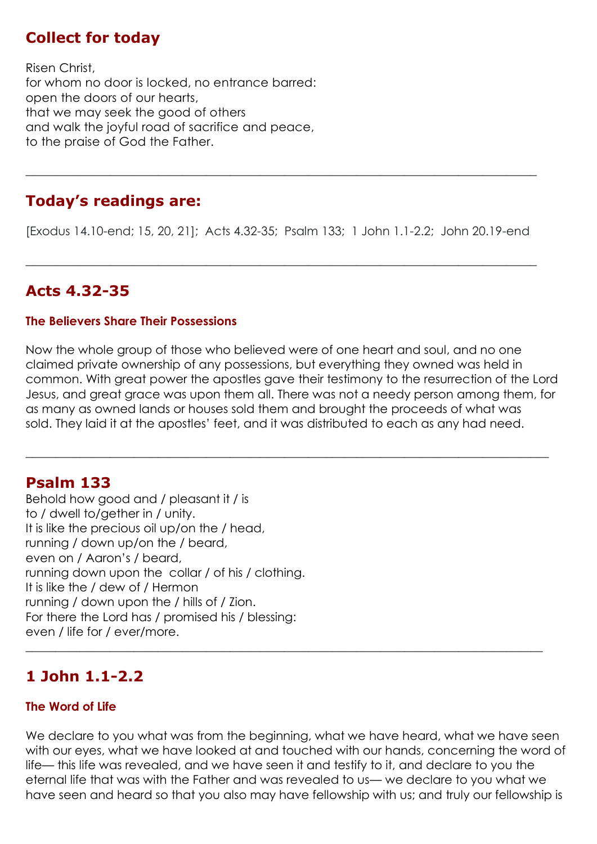# **Collect for today**

Risen Christ, for whom no door is locked, no entrance barred: open the doors of our hearts, that we may seek the good of others and walk the joyful road of sacrifice and peace, to the praise of God the Father.

# **Today's readings are:**

[Exodus 14.10-end; 15, 20, 21]; Acts 4.32-35; Psalm 133; 1 John 1.1-2.2; John 20.19-end

 $\_$  , and the set of the set of the set of the set of the set of the set of the set of the set of the set of the set of the set of the set of the set of the set of the set of the set of the set of the set of the set of th

**\_\_\_\_\_\_\_\_\_\_\_\_\_\_\_\_\_\_\_\_\_\_\_\_\_\_\_\_\_\_\_\_\_\_\_\_\_\_\_\_\_\_\_\_\_\_\_\_\_\_\_\_\_\_\_\_\_\_\_\_\_\_\_\_\_\_\_\_\_\_\_\_\_\_\_\_\_\_\_\_\_\_\_\_\_**

# **Acts 4.32-35**

#### **The Believers Share Their Possessions**

Now the whole group of those who believed were of one heart and soul, and no one claimed private ownership of any possessions, but everything they owned was held in common. With great power the apostles gave their testimony to the resurrection of the Lord Jesus, and great grace was upon them all. There was not a needy person among them, for as many as owned lands or houses sold them and brought the proceeds of what was sold. They laid it at the apostles' feet, and it was distributed to each as any had need.

 $\_$  , and the set of the set of the set of the set of the set of the set of the set of the set of the set of the set of the set of the set of the set of the set of the set of the set of the set of the set of the set of th

### **Psalm 133**

Behold how good and / pleasant it / is to / dwell to/gether in / unity. It is like the precious oil up/on the / head, running / down up/on the / beard, even on / Aaron's / beard, running down upon the collar / of his / clothing. It is like the / dew of / Hermon running / down upon the / hills of / Zion. For there the Lord has / promised his / blessing: even / life for / ever/more.

# **1 John 1.1-2.2**

#### **The Word of Life**

We declare to you what was from the beginning, what we have heard, what we have seen with our eyes, what we have looked at and touched with our hands, concerning the word of life— this life was revealed, and we have seen it and testify to it, and declare to you the eternal life that was with the Father and was revealed to us— we declare to you what we have seen and heard so that you also may have fellowship with us; and truly our fellowship is

 $\_$  , and the set of the set of the set of the set of the set of the set of the set of the set of the set of the set of the set of the set of the set of the set of the set of the set of the set of the set of the set of th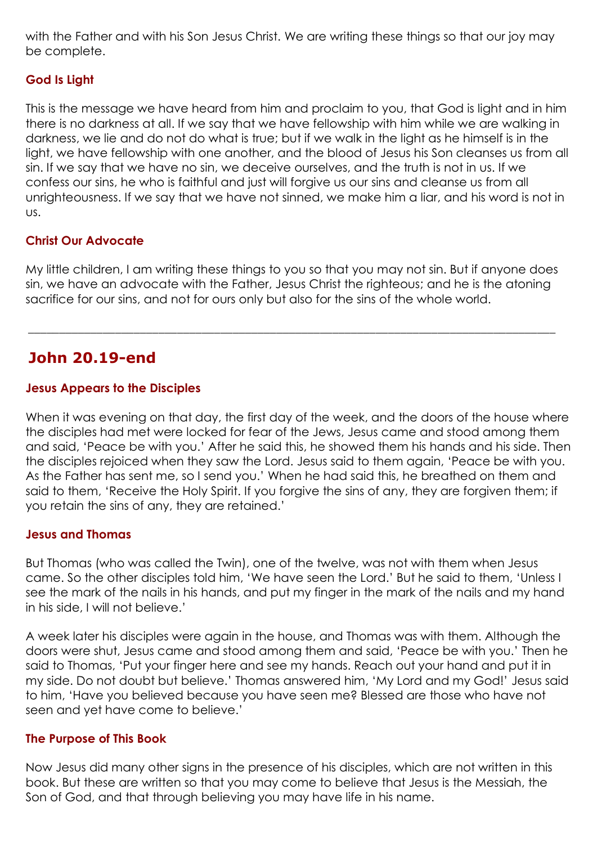with the Father and with his Son Jesus Christ. We are writing these things so that our joy may be complete.

#### **God Is Light**

This is the message we have heard from him and proclaim to you, that God is light and in him there is no darkness at all. If we say that we have fellowship with him while we are walking in darkness, we lie and do not do what is true; but if we walk in the light as he himself is in the light, we have fellowship with one another, and the blood of Jesus his Son cleanses us from all sin. If we say that we have no sin, we deceive ourselves, and the truth is not in us. If we confess our sins, he who is faithful and just will forgive us our sins and cleanse us from all unrighteousness. If we say that we have not sinned, we make him a liar, and his word is not in us.

#### **Christ Our Advocate**

My little children, I am writing these things to you so that you may not sin. But if anyone does sin, we have an advocate with the Father, Jesus Christ the righteous; and he is the atoning sacrifice for our sins, and not for ours only but also for the sins of the whole world.

\_\_\_\_\_\_\_\_\_\_\_\_\_\_\_\_\_\_\_\_\_\_\_\_\_\_\_\_\_\_\_\_\_\_\_\_\_\_\_\_\_\_\_\_\_\_\_\_\_\_\_\_\_\_\_\_\_\_\_\_\_\_\_\_\_\_\_\_\_\_\_\_\_\_\_\_\_\_\_\_\_\_\_\_\_

## **John 20.19-end**

#### **Jesus Appears to the Disciples**

When it was evening on that day, the first day of the week, and the doors of the house where the disciples had met were locked for fear of the Jews, Jesus came and stood among them and said, 'Peace be with you.' After he said this, he showed them his hands and his side. Then the disciples rejoiced when they saw the Lord. Jesus said to them again, 'Peace be with you. As the Father has sent me, so I send you.' When he had said this, he breathed on them and said to them, 'Receive the Holy Spirit. If you forgive the sins of any, they are forgiven them; if you retain the sins of any, they are retained.'

#### **Jesus and Thomas**

But Thomas (who was called the Twin), one of the twelve, was not with them when Jesus came. So the other disciples told him, 'We have seen the Lord.' But he said to them, 'Unless I see the mark of the nails in his hands, and put my finger in the mark of the nails and my hand in his side, I will not believe.'

A week later his disciples were again in the house, and Thomas was with them. Although the doors were shut, Jesus came and stood among them and said, 'Peace be with you.' Then he said to Thomas, 'Put your finger here and see my hands. Reach out your hand and put it in my side. Do not doubt but believe.' Thomas answered him, 'My Lord and my God!' Jesus said to him, 'Have you believed because you have seen me? Blessed are those who have not seen and yet have come to believe.'

#### **The Purpose of This Book**

Now Jesus did many other signs in the presence of his disciples, which are not written in this book. But these are written so that you may come to believe that Jesus is the Messiah, the Son of God, and that through believing you may have life in his name.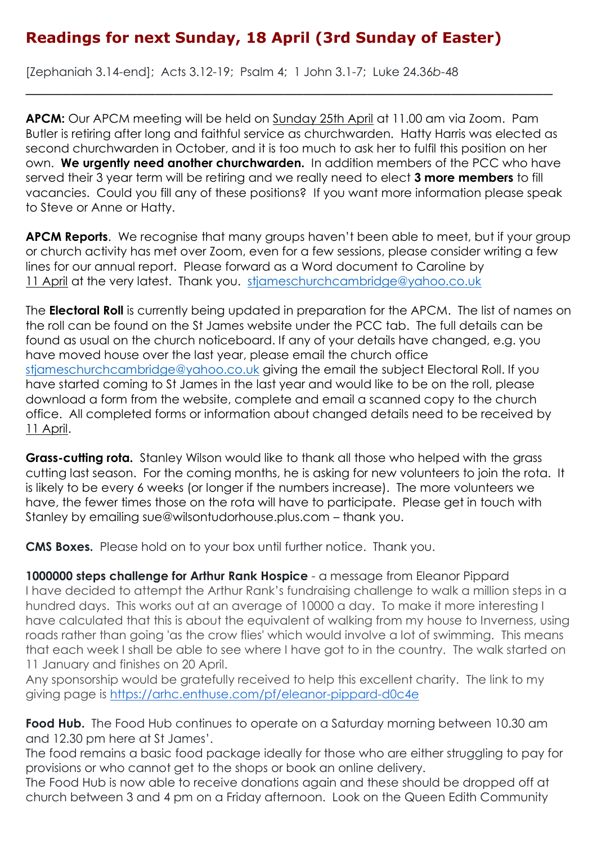# **Readings for next Sunday, 18 April (3rd Sunday of Easter)**

[Zephaniah 3.14-end]; Acts 3.12-19; Psalm 4; 1 John 3.1-7; Luke 24.36*b*-48

**APCM:** Our APCM meeting will be held on Sunday 25th April at 11.00 am via Zoom. Pam Butler is retiring after long and faithful service as churchwarden. Hatty Harris was elected as second churchwarden in October, and it is too much to ask her to fulfil this position on her own. **We urgently need another churchwarden.** In addition members of the PCC who have served their 3 year term will be retiring and we really need to elect **3 more members** to fill vacancies. Could you fill any of these positions? If you want more information please speak to Steve or Anne or Hatty.

\_\_\_\_\_\_\_\_\_\_\_\_\_\_\_\_\_\_\_\_\_\_\_\_\_\_\_\_\_\_\_\_\_\_\_\_\_\_\_\_\_\_\_\_\_\_\_\_\_\_\_\_\_\_\_\_\_

**APCM Reports**. We recognise that many groups haven't been able to meet, but if your group or church activity has met over Zoom, even for a few sessions, please consider writing a few lines for our annual report. Please forward as a Word document to Caroline by 11 April at the very latest. Thank you. [stjameschurchcambridge@yahoo.co.uk](mailto:stjameschurchcambridge@yahoo.co.uk)

The **Electoral Roll** is currently being updated in preparation for the APCM. The list of names on the roll can be found on the St James website under the PCC tab. The full details can be found as usual on the church noticeboard. If any of your details have changed, e.g. you have moved house over the last year, please email the church office [stjameschurchcambridge@yahoo.co.uk](mailto:stjameschurchcambridge@yahoo.co.uk) giving the email the subject Electoral Roll. If you have started coming to St James in the last year and would like to be on the roll, please download a form from the website, complete and email a scanned copy to the church office. All completed forms or information about changed details need to be received by 11 April.

**Grass-cutting rota.** Stanley Wilson would like to thank all those who helped with the grass cutting last season. For the coming months, he is asking for new volunteers to join the rota. It is likely to be every 6 weeks (or longer if the numbers increase). The more volunteers we have, the fewer times those on the rota will have to participate. Please get in touch with Stanley by emailing sue@wilsontudorhouse.plus.com – thank you.

**CMS Boxes.** Please hold on to your box until further notice. Thank you.

**1000000 steps challenge for Arthur Rank Hospice** - a message from Eleanor Pippard I have decided to attempt the Arthur Rank's fundraising challenge to walk a million steps in a hundred days. This works out at an average of 10000 a day. To make it more interesting I have calculated that this is about the equivalent of walking from my house to Inverness, using roads rather than going 'as the crow flies' which would involve a lot of swimming. This means that each week I shall be able to see where I have got to in the country. The walk started on 11 January and finishes on 20 April.

Any sponsorship would be gratefully received to help this excellent charity. The link to my giving page is <https://arhc.enthuse.com/pf/eleanor-pippard-d0c4e>

**Food Hub.** The Food Hub continues to operate on a Saturday morning between 10.30 am and 12.30 pm here at St James'.

The food remains a basic food package ideally for those who are either struggling to pay for provisions or who cannot get to the shops or book an online delivery.

The Food Hub is now able to receive donations again and these should be dropped off at church between 3 and 4 pm on a Friday afternoon. Look on the Queen Edith Community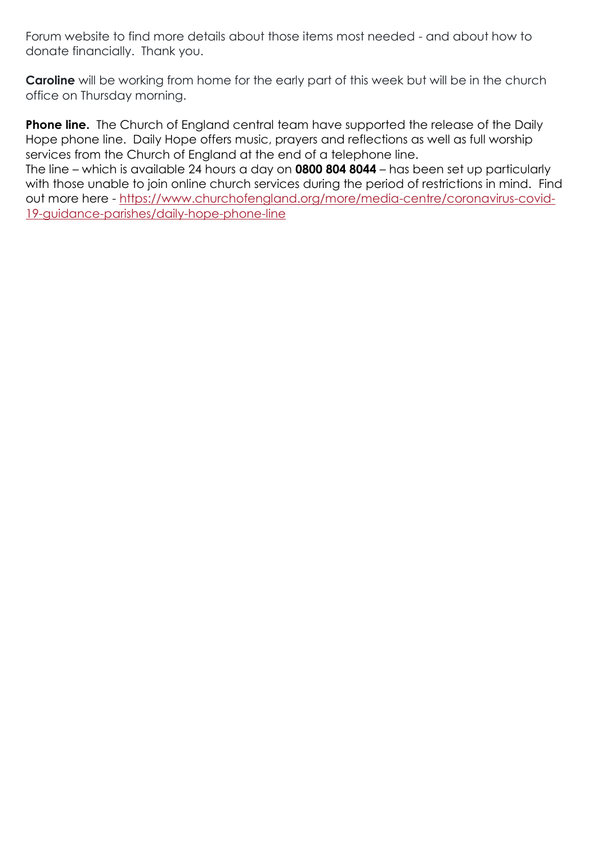Forum website to find more details about those items most needed - and about how to donate financially. Thank you.

**Caroline** will be working from home for the early part of this week but will be in the church office on Thursday morning.

**Phone line.** The Church of England central team have supported the release of the Daily Hope phone line. Daily Hope offers music, prayers and reflections as well as full worship services from the Church of England at the end of a telephone line.

The line – which is available 24 hours a day on **0800 804 8044** – has been set up particularly with those unable to join online church services during the period of restrictions in mind. Find out more here - [https://www.churchofengland.org/more/media-centre/coronavirus-covid-](https://www.churchofengland.org/more/media-centre/coronavirus-covid-19-guidance-parishes/daily-hope-phone-line)[19-guidance-parishes/daily-hope-phone-line](https://www.churchofengland.org/more/media-centre/coronavirus-covid-19-guidance-parishes/daily-hope-phone-line)